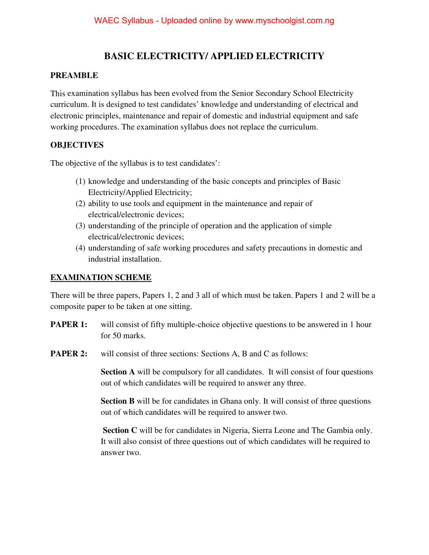# **BASIC ELECTRICITY/ APPLIED ELECTRICITY**

### **PREAMBLE**

This examination syllabus has been evolved from the Senior Secondary School Electricity curriculum. It is designed to test candidates' knowledge and understanding of electrical and electronic principles, maintenance and repair of domestic and industrial equipment and safe working procedures. The examination syllabus does not replace the curriculum.

## **OBJECTIVES**

The objective of the syllabus is to test candidates':

- (1) knowledge and understanding of the basic concepts and principles of Basic Electricity/Applied Electricity;
- (2) ability to use tools and equipment in the maintenance and repair of electrical/electronic devices;
- (3) understanding of the principle of operation and the application of simple electrical/electronic devices;
- (4) understanding of safe working procedures and safety precautions in domestic and industrial installation.

## **EXAMINATION SCHEME**

There will be three papers, Papers 1, 2 and 3 all of which must be taken. Papers 1 and 2 will be a composite paper to be taken at one sitting.

- **PAPER 1:** will consist of fifty multiple-choice objective questions to be answered in 1 hour for 50 marks.
- **PAPER 2:** will consist of three sections: Sections A, B and C as follows:

**Section A** will be compulsory for all candidates. It will consist of four questions out of which candidates will be required to answer any three.

**Section B** will be for candidates in Ghana only. It will consist of three questions out of which candidates will be required to answer two.

 **Section C** will be for candidates in Nigeria, Sierra Leone and The Gambia only. It will also consist of three questions out of which candidates will be required to answer two.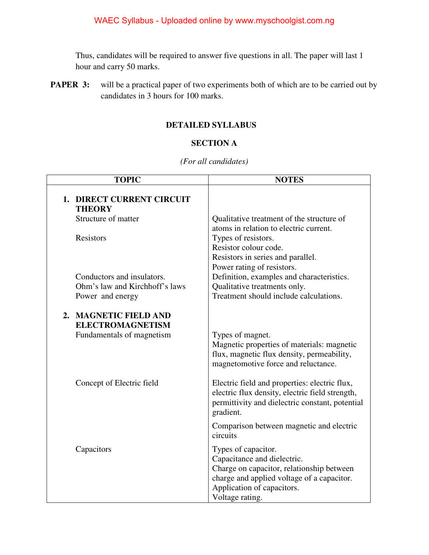Thus, candidates will be required to answer five questions in all. The paper will last 1 hour and carry 50 marks.

**PAPER 3:** will be a practical paper of two experiments both of which are to be carried out by candidates in 3 hours for 100 marks.

#### **DETAILED SYLLABUS**

## **SECTION A**

#### *(For all candidates)*

| <b>TOPIC</b>                                                                     | <b>NOTES</b>                                                                                                                                                                                   |
|----------------------------------------------------------------------------------|------------------------------------------------------------------------------------------------------------------------------------------------------------------------------------------------|
| 1. DIRECT CURRENT CIRCUIT<br><b>THEORY</b>                                       |                                                                                                                                                                                                |
| Structure of matter                                                              | Qualitative treatment of the structure of<br>atoms in relation to electric current.                                                                                                            |
| <b>Resistors</b>                                                                 | Types of resistors.<br>Resistor colour code.<br>Resistors in series and parallel.<br>Power rating of resistors.                                                                                |
| Conductors and insulators.<br>Ohm's law and Kirchhoff's laws<br>Power and energy | Definition, examples and characteristics.<br>Qualitative treatments only.<br>Treatment should include calculations.                                                                            |
| 2. MAGNETIC FIELD AND<br><b>ELECTROMAGNETISM</b><br>Fundamentals of magnetism    | Types of magnet.<br>Magnetic properties of materials: magnetic<br>flux, magnetic flux density, permeability,<br>magnetomotive force and reluctance.                                            |
| Concept of Electric field                                                        | Electric field and properties: electric flux,<br>electric flux density, electric field strength,<br>permittivity and dielectric constant, potential<br>gradient.                               |
|                                                                                  | Comparison between magnetic and electric<br>circuits                                                                                                                                           |
| Capacitors                                                                       | Types of capacitor.<br>Capacitance and dielectric.<br>Charge on capacitor, relationship between<br>charge and applied voltage of a capacitor.<br>Application of capacitors.<br>Voltage rating. |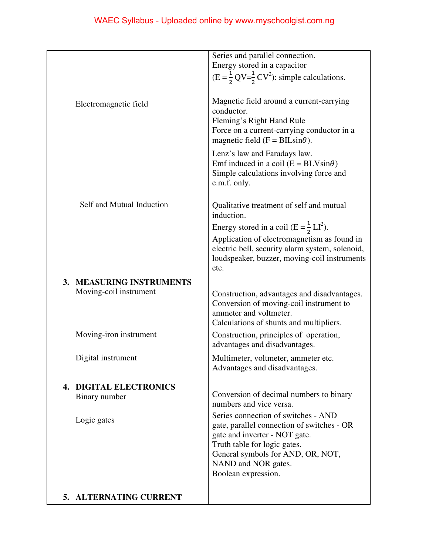|                                                | Series and parallel connection.                                                        |
|------------------------------------------------|----------------------------------------------------------------------------------------|
|                                                | Energy stored in a capacitor                                                           |
|                                                | $(E = \frac{1}{2} QV = \frac{1}{2} CV^2)$ : simple calculations.                       |
|                                                |                                                                                        |
| Electromagnetic field                          | Magnetic field around a current-carrying                                               |
|                                                | conductor.                                                                             |
|                                                | Fleming's Right Hand Rule                                                              |
|                                                | Force on a current-carrying conductor in a                                             |
|                                                | magnetic field ( $F = BILsin\theta$ ).                                                 |
|                                                | Lenz's law and Faradays law.                                                           |
|                                                | Emf induced in a coil $(E = BLV\sin\theta)$<br>Simple calculations involving force and |
|                                                | e.m.f. only.                                                                           |
|                                                |                                                                                        |
| Self and Mutual Induction                      | Qualitative treatment of self and mutual                                               |
|                                                | induction.                                                                             |
|                                                | Energy stored in a coil (E = $\frac{1}{2}$ LI <sup>2</sup> ).                          |
|                                                | Application of electromagnetism as found in                                            |
|                                                | electric bell, security alarm system, solenoid,                                        |
|                                                | loudspeaker, buzzer, moving-coil instruments<br>etc.                                   |
|                                                |                                                                                        |
| 3. MEASURING INSTRUMENTS                       |                                                                                        |
| Moving-coil instrument                         | Construction, advantages and disadvantages.                                            |
|                                                | Conversion of moving-coil instrument to<br>ammeter and voltmeter.                      |
|                                                | Calculations of shunts and multipliers.                                                |
| Moving-iron instrument                         | Construction, principles of operation,                                                 |
|                                                | advantages and disadvantages.                                                          |
| Digital instrument                             | Multimeter, voltmeter, ammeter etc.                                                    |
|                                                | Advantages and disadvantages.                                                          |
|                                                |                                                                                        |
| <b>4. DIGITAL ELECTRONICS</b><br>Binary number | Conversion of decimal numbers to binary                                                |
|                                                | numbers and vice versa.                                                                |
|                                                | Series connection of switches - AND                                                    |
| Logic gates                                    | gate, parallel connection of switches - OR                                             |
|                                                | gate and inverter - NOT gate.                                                          |
|                                                | Truth table for logic gates.                                                           |
|                                                | General symbols for AND, OR, NOT,<br>NAND and NOR gates.                               |
|                                                | Boolean expression.                                                                    |
|                                                |                                                                                        |
| 5. ALTERNATING CURRENT                         |                                                                                        |
|                                                |                                                                                        |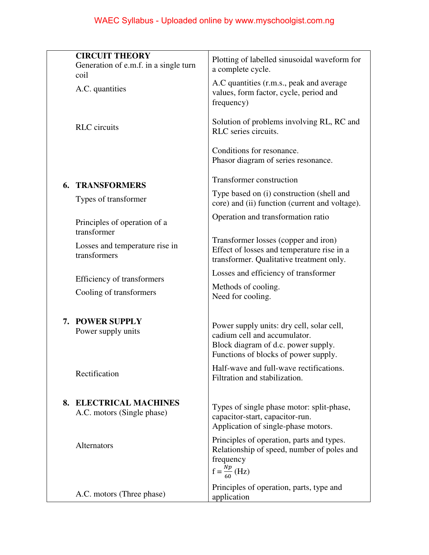|    | <b>CIRCUIT THEORY</b><br>Generation of e.m.f. in a single turn<br>coil | Plotting of labelled sinusoidal waveform for<br>a complete cycle.                                                                                        |
|----|------------------------------------------------------------------------|----------------------------------------------------------------------------------------------------------------------------------------------------------|
|    | A.C. quantities                                                        | A.C quantities (r.m.s., peak and average<br>values, form factor, cycle, period and<br>frequency)                                                         |
|    | <b>RLC</b> circuits                                                    | Solution of problems involving RL, RC and<br>RLC series circuits.                                                                                        |
|    |                                                                        | Conditions for resonance.<br>Phasor diagram of series resonance.                                                                                         |
| 6. | <b>TRANSFORMERS</b>                                                    | Transformer construction                                                                                                                                 |
|    | Types of transformer                                                   | Type based on (i) construction (shell and<br>core) and (ii) function (current and voltage).                                                              |
|    | Principles of operation of a<br>transformer                            | Operation and transformation ratio                                                                                                                       |
|    | Losses and temperature rise in<br>transformers                         | Transformer losses (copper and iron)<br>Effect of losses and temperature rise in a<br>transformer. Qualitative treatment only.                           |
|    | Efficiency of transformers                                             | Losses and efficiency of transformer                                                                                                                     |
|    | Cooling of transformers                                                | Methods of cooling.<br>Need for cooling.                                                                                                                 |
| 7. | <b>POWER SUPPLY</b><br>Power supply units                              | Power supply units: dry cell, solar cell,<br>cadium cell and accumulator.<br>Block diagram of d.c. power supply.<br>Functions of blocks of power supply. |
|    | Rectification                                                          | Half-wave and full-wave rectifications.<br>Filtration and stabilization.                                                                                 |
| 8. | <b>ELECTRICAL MACHINES</b><br>A.C. motors (Single phase)               | Types of single phase motor: split-phase,<br>capacitor-start, capacitor-run.<br>Application of single-phase motors.                                      |
|    | Alternators                                                            | Principles of operation, parts and types.<br>Relationship of speed, number of poles and<br>frequency<br>$f = \frac{Np}{\epsilon_0}$ (Hz)                 |
|    | A.C. motors (Three phase)                                              | Principles of operation, parts, type and<br>application                                                                                                  |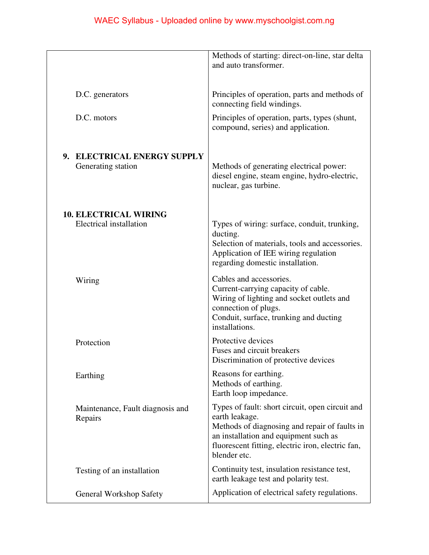|                                                         | Methods of starting: direct-on-line, star delta<br>and auto transformer.                                                                                                                                                         |
|---------------------------------------------------------|----------------------------------------------------------------------------------------------------------------------------------------------------------------------------------------------------------------------------------|
| D.C. generators                                         | Principles of operation, parts and methods of<br>connecting field windings.                                                                                                                                                      |
| D.C. motors                                             | Principles of operation, parts, types (shunt,<br>compound, series) and application.                                                                                                                                              |
| 9. ELECTRICAL ENERGY SUPPLY<br>Generating station       | Methods of generating electrical power:<br>diesel engine, steam engine, hydro-electric,<br>nuclear, gas turbine.                                                                                                                 |
| <b>10. ELECTRICAL WIRING</b><br>Electrical installation | Types of wiring: surface, conduit, trunking,<br>ducting.<br>Selection of materials, tools and accessories.<br>Application of IEE wiring regulation<br>regarding domestic installation.                                           |
| Wiring                                                  | Cables and accessories.<br>Current-carrying capacity of cable.<br>Wiring of lighting and socket outlets and<br>connection of plugs.<br>Conduit, surface, trunking and ducting<br>installations.                                  |
| Protection                                              | Protective devices<br>Fuses and circuit breakers<br>Discrimination of protective devices                                                                                                                                         |
| Earthing                                                | Reasons for earthing.<br>Methods of earthing.<br>Earth loop impedance.                                                                                                                                                           |
| Maintenance, Fault diagnosis and<br>Repairs             | Types of fault: short circuit, open circuit and<br>earth leakage.<br>Methods of diagnosing and repair of faults in<br>an installation and equipment such as<br>fluorescent fitting, electric iron, electric fan,<br>blender etc. |
| Testing of an installation                              | Continuity test, insulation resistance test,<br>earth leakage test and polarity test.                                                                                                                                            |
| <b>General Workshop Safety</b>                          | Application of electrical safety regulations.                                                                                                                                                                                    |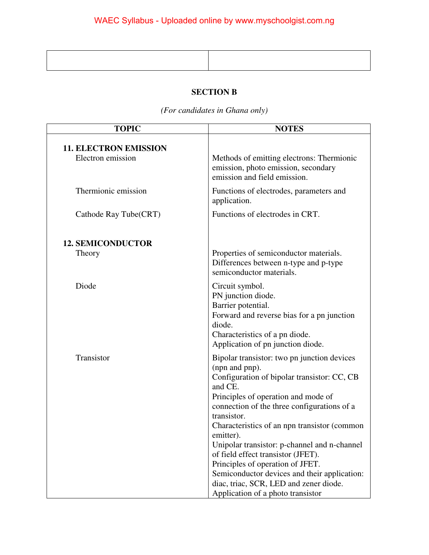# **SECTION B**

*(For candidates in Ghana only)* 

| <b>TOPIC</b>                                      | <b>NOTES</b>                                                                                                                                                                                                                                                                                                                                                                                                                                                                                                                                       |
|---------------------------------------------------|----------------------------------------------------------------------------------------------------------------------------------------------------------------------------------------------------------------------------------------------------------------------------------------------------------------------------------------------------------------------------------------------------------------------------------------------------------------------------------------------------------------------------------------------------|
| <b>11. ELECTRON EMISSION</b><br>Electron emission | Methods of emitting electrons: Thermionic<br>emission, photo emission, secondary<br>emission and field emission.                                                                                                                                                                                                                                                                                                                                                                                                                                   |
| Thermionic emission                               | Functions of electrodes, parameters and<br>application.                                                                                                                                                                                                                                                                                                                                                                                                                                                                                            |
| Cathode Ray Tube(CRT)                             | Functions of electrodes in CRT.                                                                                                                                                                                                                                                                                                                                                                                                                                                                                                                    |
| <b>12. SEMICONDUCTOR</b>                          |                                                                                                                                                                                                                                                                                                                                                                                                                                                                                                                                                    |
| Theory                                            | Properties of semiconductor materials.<br>Differences between n-type and p-type<br>semiconductor materials.                                                                                                                                                                                                                                                                                                                                                                                                                                        |
| Diode                                             | Circuit symbol.<br>PN junction diode.<br>Barrier potential.<br>Forward and reverse bias for a pn junction<br>diode.<br>Characteristics of a pn diode.<br>Application of pn junction diode.                                                                                                                                                                                                                                                                                                                                                         |
| Transistor                                        | Bipolar transistor: two pn junction devices<br>(npn and pnp).<br>Configuration of bipolar transistor: CC, CB<br>and CE.<br>Principles of operation and mode of<br>connection of the three configurations of a<br>transistor.<br>Characteristics of an npn transistor (common<br>emitter).<br>Unipolar transistor: p-channel and n-channel<br>of field effect transistor (JFET).<br>Principles of operation of JFET.<br>Semiconductor devices and their application:<br>diac, triac, SCR, LED and zener diode.<br>Application of a photo transistor |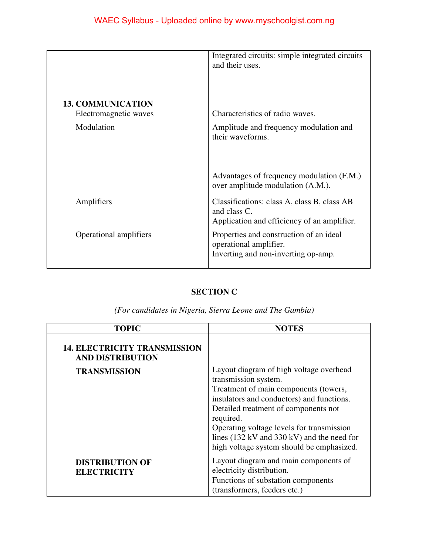|                          | Integrated circuits: simple integrated circuits<br>and their uses.                                         |
|--------------------------|------------------------------------------------------------------------------------------------------------|
| <b>13. COMMUNICATION</b> |                                                                                                            |
| Electromagnetic waves    | Characteristics of radio waves.                                                                            |
| Modulation               | Amplitude and frequency modulation and<br>their waveforms.                                                 |
|                          | Advantages of frequency modulation (F.M.)<br>over amplitude modulation (A.M.).                             |
| Amplifiers               | Classifications: class A, class B, class AB<br>and class C.<br>Application and efficiency of an amplifier. |
| Operational amplifiers   | Properties and construction of an ideal<br>operational amplifier.<br>Inverting and non-inverting op-amp.   |

## **SECTION C**

*(For candidates in Nigeria, Sierra Leone and The Gambia)* 

| <b>TOPIC</b>                                                   | <b>NOTES</b>                                                                                                                                                                                                                                                                                                                                       |
|----------------------------------------------------------------|----------------------------------------------------------------------------------------------------------------------------------------------------------------------------------------------------------------------------------------------------------------------------------------------------------------------------------------------------|
| <b>14. ELECTRICITY TRANSMISSION</b><br><b>AND DISTRIBUTION</b> |                                                                                                                                                                                                                                                                                                                                                    |
| <b>TRANSMISSION</b>                                            | Layout diagram of high voltage overhead<br>transmission system.<br>Treatment of main components (towers,<br>insulators and conductors) and functions.<br>Detailed treatment of components not<br>required.<br>Operating voltage levels for transmission<br>lines (132 kV and 330 kV) and the need for<br>high voltage system should be emphasized. |
| <b>DISTRIBUTION OF</b><br><b>ELECTRICITY</b>                   | Layout diagram and main components of<br>electricity distribution.<br>Functions of substation components<br>(transformers, feeders etc.)                                                                                                                                                                                                           |